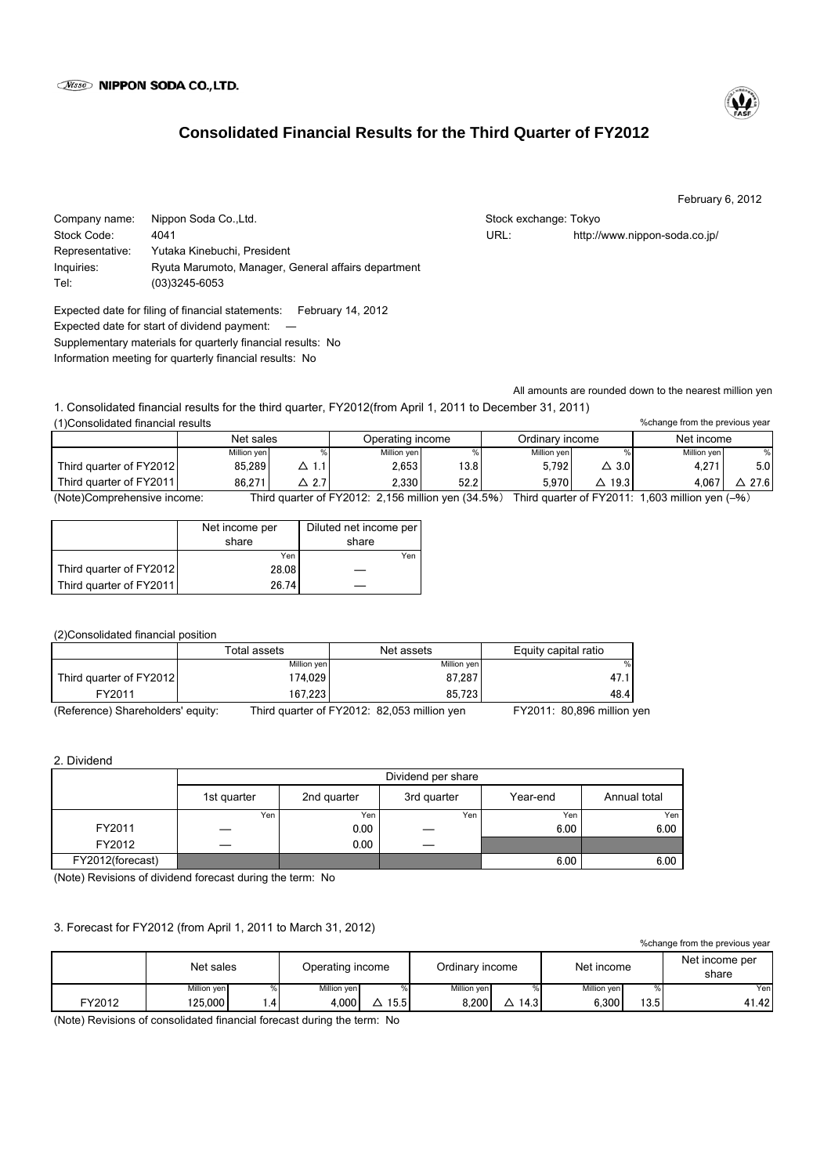

# **Consolidated Financial Results for the Third Quarter of FY2012**

February 6, 2012

%change from the previous year

Company name: Nippon Soda Co.,Ltd. Stock exchange: Tokyo Stock exchange: Tokyo Stock Code: 4041 URL: http://www.nippon-soda.co.jp/ Representative: Yutaka Kinebuchi, President Inquiries: Ryuta Marumoto, Manager, General affairs department Tel: (03)3245-6053

Expected date for filing of financial statements: February 14, 2012 Expected date for start of dividend payment: Supplementary materials for quarterly financial results: No Information meeting for quarterly financial results: No

All amounts are rounded down to the nearest million yen

1. Consolidated financial results for the third quarter, FY2012(from April 1, 2011 to December 31, 2011) (1)Consolidated financial results

|                             | Net sales   |                                                        | Operating income |      | Ordinary income |                           | Net income  |                        |  |
|-----------------------------|-------------|--------------------------------------------------------|------------------|------|-----------------|---------------------------|-------------|------------------------|--|
|                             | Million yen |                                                        | Million yen      |      | Million yen     |                           | Million ven | %                      |  |
| Third quarter of FY2012     | 85.289      |                                                        | 2.653            | 13.8 | 5.792           | $\Delta$ 3.0 $\,$         | 4.271       | 5.0 <sub>1</sub>       |  |
| Third quarter of FY2011     | 86.271      | 2.7                                                    | 2.330            | 52.2 | 5.970           | 19.3                      | 4.067       | 27.6                   |  |
| (Note)Comprehensive income: |             | Third quarter of $FY2012: 2156$ million ven $(34.5\%)$ |                  |      |                 | Third quarter of $FY2011$ |             | 1 603 million ven (–%) |  |

(Note)Comprehensive income: Third quarter of FY2012: 2,156 million yen (34.5%) Third quarter of FY2011: 1,603 million yen (

|                         | Net income per | Diluted net income per |  |  |
|-------------------------|----------------|------------------------|--|--|
|                         | share          | share                  |  |  |
|                         | Yen            | Yen                    |  |  |
| Third quarter of FY2012 | 28.08          |                        |  |  |
| Third quarter of FY2011 | 26.74          |                        |  |  |

(2)Consolidated financial position

|                                   | Total assets | Net assets                                  | Equity capital ratio       |
|-----------------------------------|--------------|---------------------------------------------|----------------------------|
|                                   | Million yen  | Million yen                                 | %                          |
| Third quarter of FY2012           | 174.029      | 87.287                                      | 47.1                       |
| FY2011                            | 167.223      | 85.723                                      | 48.4                       |
| (Reference) Shareholders' equity: |              | Third quarter of FY2012: 82,053 million yen | FY2011: 80,896 million yen |

2. Dividend

|                  | Dividend per share |             |             |          |              |  |  |
|------------------|--------------------|-------------|-------------|----------|--------------|--|--|
|                  | 1st quarter        | 2nd quarter | 3rd quarter | Year-end | Annual total |  |  |
|                  | Yen                | Yen         | Yen         | Yen      | Yen          |  |  |
| FY2011           |                    | 0.00        |             | 6.00     | 6.00         |  |  |
| FY2012           | _                  | 0.00        |             |          |              |  |  |
| FY2012(forecast) |                    |             |             | 6.00     | 6.00         |  |  |

(Note) Revisions of dividend forecast during the term: No

# 3. Forecast for FY2012 (from April 1, 2011 to March 31, 2012)

 $\Delta$  15.5 8,200  $\Delta$  14.3 6,300 13.5 41.42 Operating income Million yen | 1990 | Million yen | 1990 | Million yen | 1990 | Million yen | 1990 | Million yen | 19 Ordinary income %change from the previous year Net income per Net income<br>share Million ven *Million* ven *Million* ven *Million* ven *Million* ven *Million* ven *Mer* FY2012 125,000 1.4 4,000 Net sales

(Note) Revisions of consolidated financial forecast during the term: No